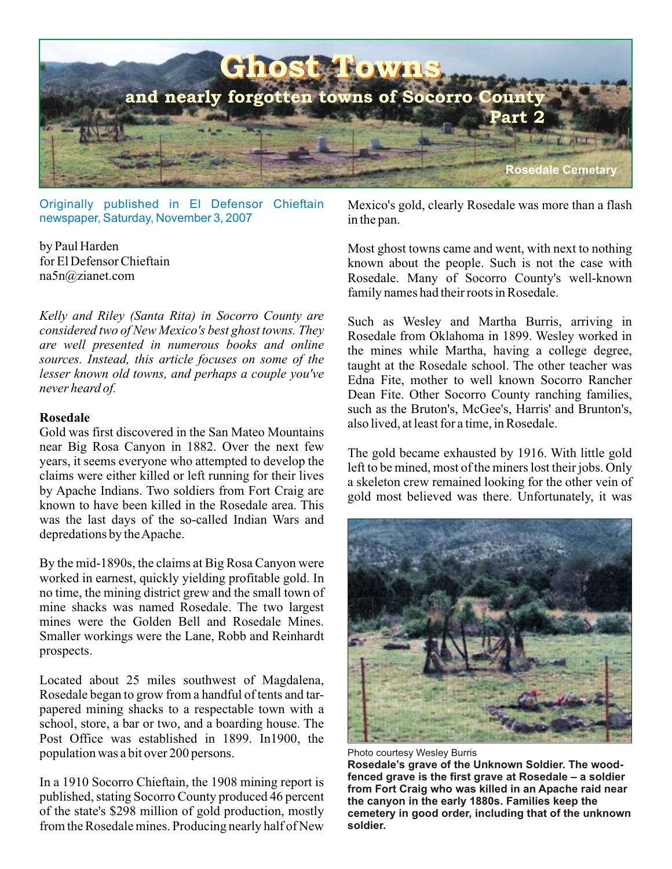

Originally published in El Defensor Chieftain newspaper, Saturday, November 3, 2007

by Paul Harden for El Defensor Chieftain na5n@zianet.com

*Kelly and Riley (Santa Rita) in Socorro County are considered two of New Mexico's best ghost towns. They are well presented in numerous books and online sources. Instead, this article focuses on some of the lesser known old towns, and perhaps a couple you've never heard of.*

#### **Rosedale**

Gold was first discovered in the San Mateo Mountains near Big Rosa Canyon in 1882. Over the next few years, it seems everyone who attempted to develop the claims were either killed or left running for their lives by Apache Indians. Two soldiers from Fort Craig are known to have been killed in the Rosedale area. This was the last days of the so-called Indian Wars and depredations by the Apache.

By the mid-1890s, the claims at Big Rosa Canyon were worked in earnest, quickly yielding profitable gold. In no time, the mining district grew and the small town of mine shacks was named Rosedale. The two largest mines were the Golden Bell and Rosedale Mines. Smaller workings were the Lane, Robb and Reinhardt prospects.

Located about 25 miles southwest of Magdalena, Rosedale began to grow from a handful of tents and tarpapered mining shacks to a respectable town with a school, store, a bar or two, and a boarding house. The Post Office was established in 1899. In1900, the population was a bit over 200 persons.

In a 1910 Socorro Chieftain, the 1908 mining report is published, stating Socorro County produced 46 percent of the state's \$298 million of gold production, mostly from the Rosedale mines. Producing nearly half of New Mexico's gold, clearly Rosedale was more than a flash in the pan.

Most ghost towns came and went, with next to nothing known about the people. Such is not the case with Rosedale. Many of Socorro County's well-known family names had their roots in Rosedale.

Such as Wesley and Martha Burris, arriving in Rosedale from Oklahoma in 1899. Wesley worked in the mines while Martha, having a college degree, taught at the Rosedale school. The other teacher was Edna Fite, mother to well known Socorro Rancher Dean Fite. Other Socorro County ranching families, such as the Bruton's, McGee's, Harris' and Brunton's, also lived, at least for a time, in Rosedale.

The gold became exhausted by 1916. With little gold left to be mined, most of the miners lost their jobs. Only a skeleton crew remained looking for the other vein of gold most believed was there. Unfortunately, it was



Photo courtesy Wesley Burris

**Rosedale's grave of the Unknown Soldier. The woodfenced grave is the first grave at Rosedale – a soldier from Fort Craig who was killed in an Apache raid near the canyon in the early 1880s. Families keep the cemetery in good order, including that of the unknown soldier.**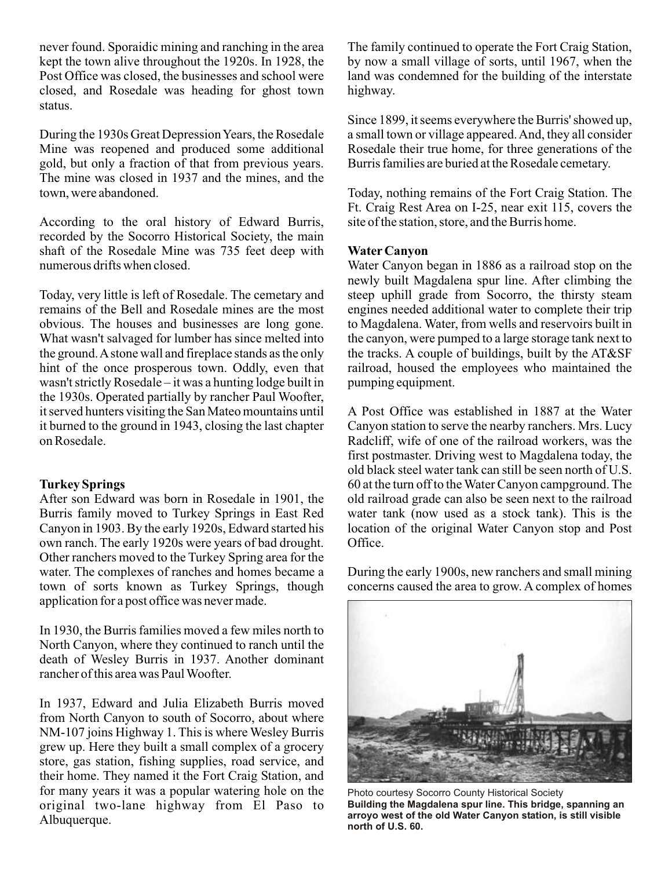never found. Sporaidic mining and ranching in the area kept the town alive throughout the 1920s. In 1928, the Post Office was closed, the businesses and school were closed, and Rosedale was heading for ghost town status.

During the 1930s Great Depression Years, the Rosedale Mine was reopened and produced some additional gold, but only a fraction of that from previous years. The mine was closed in 1937 and the mines, and the town, were abandoned.

According to the oral history of Edward Burris, recorded by the Socorro Historical Society, the main shaft of the Rosedale Mine was 735 feet deep with numerous drifts when closed.

Today, very little is left of Rosedale. The cemetary and remains of the Bell and Rosedale mines are the most obvious. The houses and businesses are long gone. What wasn't salvaged for lumber has since melted into the ground. A stone wall and fireplace stands as the only hint of the once prosperous town. Oddly, even that wasn't strictly Rosedale – it was a hunting lodge built in the 1930s. Operated partially by rancher Paul Woofter, it served hunters visiting the San Mateo mountains until it burned to the ground in 1943, closing the last chapter on Rosedale.

### **Turkey Springs**

After son Edward was born in Rosedale in 1901, the Burris family moved to Turkey Springs in East Red Canyon in 1903. By the early 1920s, Edward started his own ranch. The early 1920s were years of bad drought. Other ranchers moved to the Turkey Spring area for the water. The complexes of ranches and homes became a town of sorts known as Turkey Springs, though application for a post office was never made.

In 1930, the Burris families moved a few miles north to North Canyon, where they continued to ranch until the death of Wesley Burris in 1937. Another dominant rancher of this area was Paul Woofter.

In 1937, Edward and Julia Elizabeth Burris moved from North Canyon to south of Socorro, about where NM-107 joins Highway 1. This is where Wesley Burris grew up. Here they built a small complex of a grocery store, gas station, fishing supplies, road service, and their home. They named it the Fort Craig Station, and for many years it was a popular watering hole on the original two-lane highway from El Paso to Albuquerque.

The family continued to operate the Fort Craig Station, by now a small village of sorts, until 1967, when the land was condemned for the building of the interstate highway.

Since 1899, it seems everywhere the Burris' showed up, a small town or village appeared. And, they all consider Rosedale their true home, for three generations of the Burris families are buried at the Rosedale cemetary.

Today, nothing remains of the Fort Craig Station. The Ft. Craig Rest Area on I-25, near exit 115, covers the site of the station, store, and the Burris home.

# **Water Canyon**

Water Canyon began in 1886 as a railroad stop on the newly built Magdalena spur line. After climbing the steep uphill grade from Socorro, the thirsty steam engines needed additional water to complete their trip to Magdalena. Water, from wells and reservoirs built in the canyon, were pumped to a large storage tank next to the tracks. A couple of buildings, built by the AT&SF railroad, housed the employees who maintained the pumping equipment.

A Post Office was established in 1887 at the Water Canyon station to serve the nearby ranchers. Mrs. Lucy Radcliff, wife of one of the railroad workers, was the first postmaster. Driving west to Magdalena today, the old black steel water tank can still be seen north of U.S. 60 at the turn off to the Water Canyon campground. The old railroad grade can also be seen next to the railroad water tank (now used as a stock tank). This is the location of the original Water Canyon stop and Post Office.

During the early 1900s, new ranchers and small mining concerns caused the area to grow. A complex of homes



Photo courtesy Socorro County Historical Society **Building the Magdalena spur line. This bridge, spanning an arroyo west of the old Water Canyon station, is still visible north of U.S. 60.**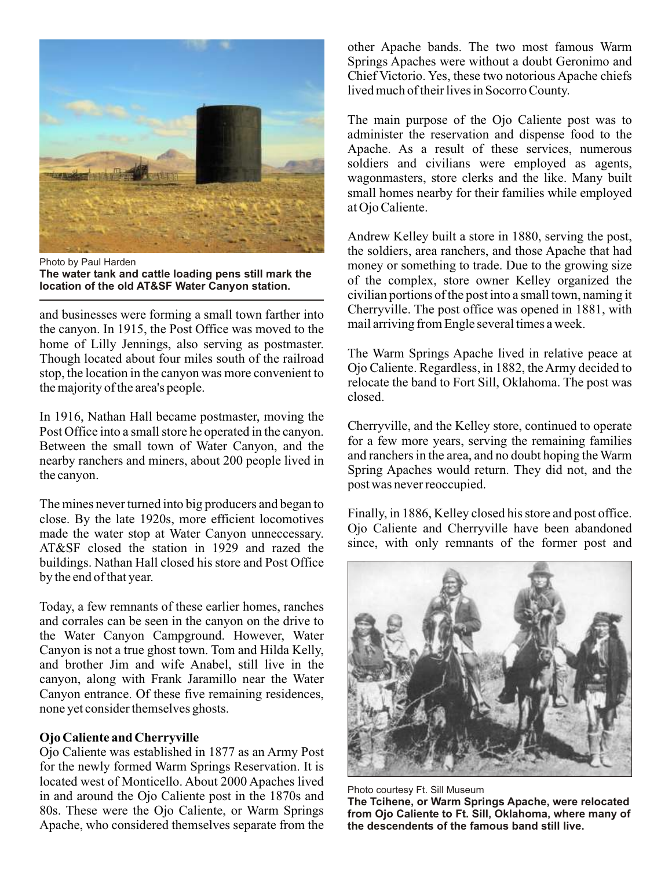

Photo by Paul Harden **The water tank and cattle loading pens still mark the location of the old AT&SF Water Canyon station.**

and businesses were forming a small town farther into the canyon. In 1915, the Post Office was moved to the home of Lilly Jennings, also serving as postmaster. Though located about four miles south of the railroad stop, the location in the canyon was more convenient to the majority of the area's people.

In 1916, Nathan Hall became postmaster, moving the Post Office into a small store he operated in the canyon. Between the small town of Water Canyon, and the nearby ranchers and miners, about 200 people lived in the canyon.

The mines never turned into big producers and began to close. By the late 1920s, more efficient locomotives made the water stop at Water Canyon unneccessary. AT&SF closed the station in 1929 and razed the buildings. Nathan Hall closed his store and Post Office by the end of that year.

Today, a few remnants of these earlier homes, ranches and corrales can be seen in the canyon on the drive to the Water Canyon Campground. However, Water Canyon is not a true ghost town. Tom and Hilda Kelly, and brother Jim and wife Anabel, still live in the canyon, along with Frank Jaramillo near the Water Canyon entrance. Of these five remaining residences, none yet consider themselves ghosts.

# **Ojo Caliente and Cherryville**

Ojo Caliente was established in 1877 as an Army Post for the newly formed Warm Springs Reservation. It is located west of Monticello. About 2000 Apaches lived in and around the Ojo Caliente post in the 1870s and 80s. These were the Ojo Caliente, or Warm Springs Apache, who considered themselves separate from the other Apache bands. The two most famous Warm Springs Apaches were without a doubt Geronimo and Chief Victorio. Yes, these two notorious Apache chiefs lived much of their lives in Socorro County.

The main purpose of the Ojo Caliente post was to administer the reservation and dispense food to the Apache. As a result of these services, numerous soldiers and civilians were employed as agents, wagonmasters, store clerks and the like. Many built small homes nearby for their families while employed at Ojo Caliente.

Andrew Kelley built a store in 1880, serving the post, the soldiers, area ranchers, and those Apache that had money or something to trade. Due to the growing size of the complex, store owner Kelley organized the civilian portions of the post into a small town, naming it Cherryville. The post office was opened in 1881, with mail arriving from Engle several times a week.

The Warm Springs Apache lived in relative peace at Ojo Caliente. Regardless, in 1882, the Army decided to relocate the band to Fort Sill, Oklahoma. The post was closed.

Cherryville, and the Kelley store, continued to operate for a few more years, serving the remaining families and ranchers in the area, and no doubt hoping the Warm Spring Apaches would return. They did not, and the post was never reoccupied.

Finally, in 1886, Kelley closed his store and post office. Ojo Caliente and Cherryville have been abandoned since, with only remnants of the former post and



Photo courtesy Ft. Sill Museum

**The Tcihene, or Warm Springs Apache, were relocated from Ojo Caliente to Ft. Sill, Oklahoma, where many of the descendents of the famous band still live.**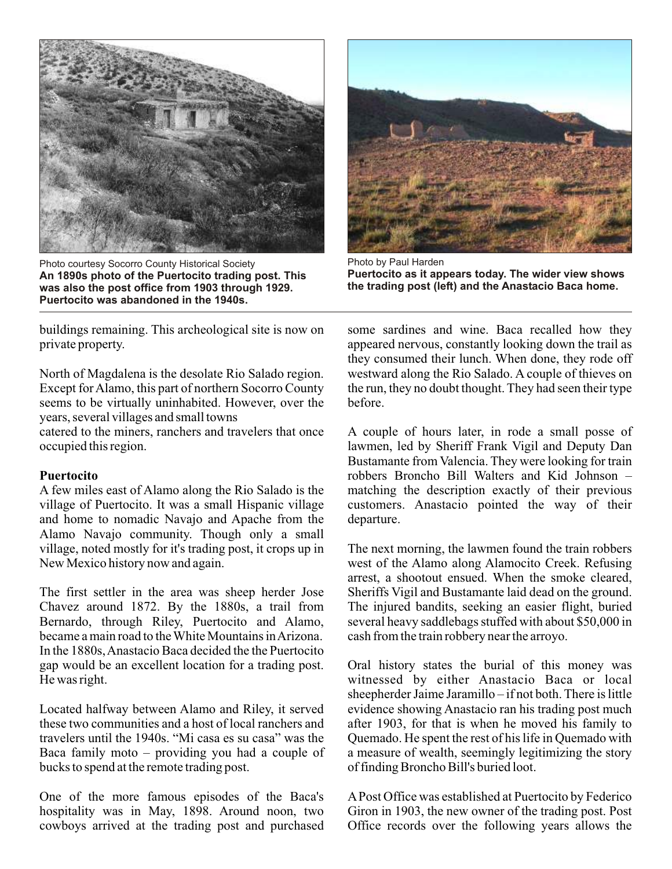

Photo courtesy Socorro County Historical Society **An 1890s photo of the Puertocito trading post. This was also the post office from 1903 through 1929. Puertocito was abandoned in the 1940s.**



Photo by Paul Harden **Puertocito as it appears today. The wider view shows the trading post (left) and the Anastacio Baca home.**

buildings remaining. This archeological site is now on private property.

North of Magdalena is the desolate Rio Salado region. Except for Alamo, this part of northern Socorro County seems to be virtually uninhabited. However, over the years, several villages and small towns

catered to the miners, ranchers and travelers that once occupied this region.

### **Puertocito**

A few miles east of Alamo along the Rio Salado is the village of Puertocito. It was a small Hispanic village and home to nomadic Navajo and Apache from the Alamo Navajo community. Though only a small village, noted mostly for it's trading post, it crops up in New Mexico history now and again.

The first settler in the area was sheep herder Jose Chavez around 1872. By the 1880s, a trail from Bernardo, through Riley, Puertocito and Alamo, became a main road to the White Mountains in Arizona. In the 1880s, Anastacio Baca decided the the Puertocito gap would be an excellent location for a trading post. He was right.

Located halfway between Alamo and Riley, it served these two communities and a host of local ranchers and travelers until the 1940s. "Mi casa es su casa" was the Baca family moto – providing you had a couple of bucks to spend at the remote trading post.

One of the more famous episodes of the Baca's hospitality was in May, 1898. Around noon, two cowboys arrived at the trading post and purchased some sardines and wine. Baca recalled how they appeared nervous, constantly looking down the trail as they consumed their lunch. When done, they rode off westward along the Rio Salado. A couple of thieves on the run, they no doubt thought. They had seen their type before.

A couple of hours later, in rode a small posse of lawmen, led by Sheriff Frank Vigil and Deputy Dan Bustamante from Valencia. They were looking for train robbers Broncho Bill Walters and Kid Johnson – matching the description exactly of their previous customers. Anastacio pointed the way of their departure.

The next morning, the lawmen found the train robbers west of the Alamo along Alamocito Creek. Refusing arrest, a shootout ensued. When the smoke cleared, Sheriffs Vigil and Bustamante laid dead on the ground. The injured bandits, seeking an easier flight, buried several heavy saddlebags stuffed with about \$50,000 in cash from the train robbery near the arroyo.

Oral history states the burial of this money was witnessed by either Anastacio Baca or local sheepherder Jaime Jaramillo – if not both. There is little evidence showing Anastacio ran his trading post much after 1903, for that is when he moved his family to Quemado. He spent the rest of his life in Quemado with a measure of wealth, seemingly legitimizing the story of finding Broncho Bill's buried loot.

A Post Office was established at Puertocito by Federico Giron in 1903, the new owner of the trading post. Post Office records over the following years allows the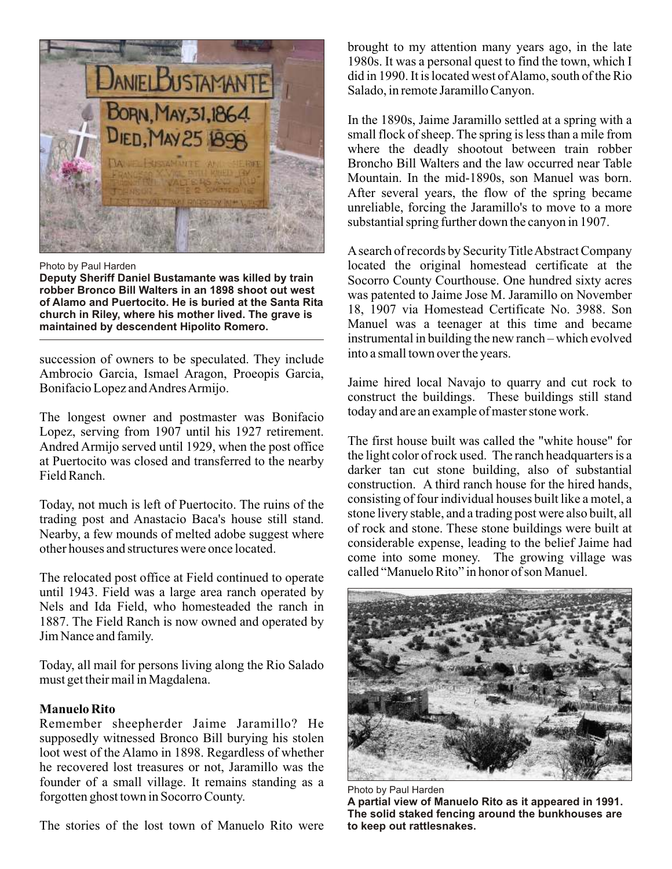

Photo by Paul Harden

**Deputy Sheriff Daniel Bustamante was killed by train robber Bronco Bill Walters in an 1898 shoot out west of Alamo and Puertocito. He is buried at the Santa Rita church in Riley, where his mother lived. The grave is maintained by descendent Hipolito Romero.**

succession of owners to be speculated. They include Ambrocio Garcia, Ismael Aragon, Proeopis Garcia, Bonifacio Lopez and Andres Armijo.

The longest owner and postmaster was Bonifacio Lopez, serving from 1907 until his 1927 retirement. Andred Armijo served until 1929, when the post office at Puertocito was closed and transferred to the nearby Field Ranch.

Today, not much is left of Puertocito. The ruins of the trading post and Anastacio Baca's house still stand. Nearby, a few mounds of melted adobe suggest where other houses and structures were once located.

The relocated post office at Field continued to operate until 1943. Field was a large area ranch operated by Nels and Ida Field, who homesteaded the ranch in 1887. The Field Ranch is now owned and operated by Jim Nance and family.

Today, all mail for persons living along the Rio Salado must get their mail in Magdalena.

# **Manuelo Rito**

Remember sheepherder Jaime Jaramillo? He supposedly witnessed Bronco Bill burying his stolen loot west of the Alamo in 1898. Regardless of whether he recovered lost treasures or not, Jaramillo was the founder of a small village. It remains standing as a forgotten ghost town in Socorro County.

The stories of the lost town of Manuelo Rito were

brought to my attention many years ago, in the late 1980s. It was a personal quest to find the town, which I did in 1990. It is located west of Alamo, south of the Rio Salado, in remote Jaramillo Canyon.

In the 1890s, Jaime Jaramillo settled at a spring with a small flock of sheep. The spring is less than a mile from where the deadly shootout between train robber Broncho Bill Walters and the law occurred near Table Mountain. In the mid-1890s, son Manuel was born. After several years, the flow of the spring became unreliable, forcing the Jaramillo's to move to a more substantial spring further down the canyon in 1907.

A search of records by Security Title Abstract Company located the original homestead certificate at the Socorro County Courthouse. One hundred sixty acres was patented to Jaime Jose M. Jaramillo on November 18, 1907 via Homestead Certificate No. 3988. Son Manuel was a teenager at this time and became instrumental in building the new ranch – which evolved into a small town over the years.

Jaime hired local Navajo to quarry and cut rock to construct the buildings. These buildings still stand today and are an example of master stone work.

The first house built was called the "white house" for the light color of rock used. The ranch headquarters is a darker tan cut stone building, also of substantial construction. A third ranch house for the hired hands, consisting of four individual houses built like a motel, a stone livery stable, and a trading post were also built, all of rock and stone. These stone buildings were built at considerable expense, leading to the belief Jaime had come into some money. The growing village was called "Manuelo Rito" in honor of son Manuel.



Photo by Paul Harden **A partial view of Manuelo Rito as it appeared in 1991. The solid staked fencing around the bunkhouses are to keep out rattlesnakes.**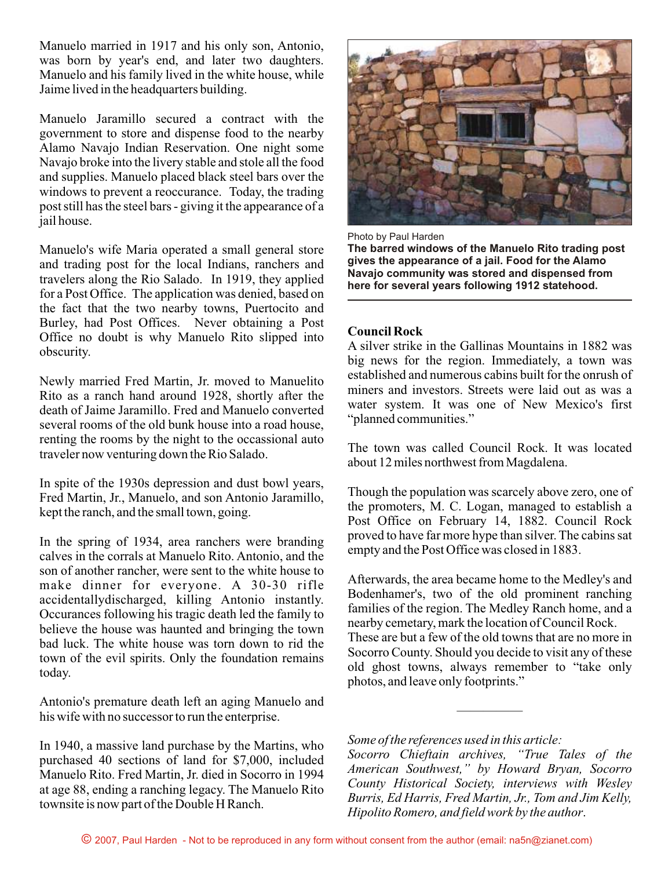Manuelo married in 1917 and his only son, Antonio, was born by year's end, and later two daughters. Manuelo and his family lived in the white house, while Jaime lived in the headquarters building.

Manuelo Jaramillo secured a contract with the government to store and dispense food to the nearby Alamo Navajo Indian Reservation. One night some Navajo broke into the livery stable and stole all the food and supplies. Manuelo placed black steel bars over the windows to prevent a reoccurance. Today, the trading post still has the steel bars - giving it the appearance of a jail house.

Manuelo's wife Maria operated a small general store and trading post for the local Indians, ranchers and travelers along the Rio Salado. In 1919, they applied for a Post Office. The application was denied, based on the fact that the two nearby towns, Puertocito and Burley, had Post Offices. Never obtaining a Post Office no doubt is why Manuelo Rito slipped into obscurity.

Newly married Fred Martin, Jr. moved to Manuelito Rito as a ranch hand around 1928, shortly after the death of Jaime Jaramillo. Fred and Manuelo converted several rooms of the old bunk house into a road house, renting the rooms by the night to the occassional auto traveler now venturing down the Rio Salado.

In spite of the 1930s depression and dust bowl years, Fred Martin, Jr., Manuelo, and son Antonio Jaramillo, kept the ranch, and the small town, going.

In the spring of 1934, area ranchers were branding calves in the corrals at Manuelo Rito. Antonio, and the son of another rancher, were sent to the white house to make dinner for everyone. A 30-30 rifle accidentallydischarged, killing Antonio instantly. Occurances following his tragic death led the family to believe the house was haunted and bringing the town bad luck. The white house was torn down to rid the town of the evil spirits. Only the foundation remains today.

Antonio's premature death left an aging Manuelo and his wife with no successor to run the enterprise.

In 1940, a massive land purchase by the Martins, who purchased 40 sections of land for \$7,000, included Manuelo Rito. Fred Martin, Jr. died in Socorro in 1994 at age 88, ending a ranching legacy. The Manuelo Rito townsite is now part of the Double H Ranch.



Photo by Paul Harden

**The barred windows of the Manuelo Rito trading post gives the appearance of a jail. Food for the Alamo Navajo community was stored and dispensed from here for several years following 1912 statehood.**

### **Council Rock**

A silver strike in the Gallinas Mountains in 1882 was big news for the region. Immediately, a town was established and numerous cabins built for the onrush of miners and investors. Streets were laid out as was a water system. It was one of New Mexico's first "planned communities."

The town was called Council Rock. It was located about 12 miles northwest from Magdalena.

Though the population was scarcely above zero, one of the promoters, M. C. Logan, managed to establish a Post Office on February 14, 1882. Council Rock proved to have far more hype than silver. The cabins sat empty and the Post Office was closed in 1883.

Afterwards, the area became home to the Medley's and Bodenhamer's, two of the old prominent ranching families of the region. The Medley Ranch home, and a nearby cemetary, mark the location of Council Rock. These are but a few of the old towns that are no more in Socorro County. Should you decide to visit any of these old ghost towns, always remember to "take only photos, and leave only footprints."

*Some of the references used in this article:*

*Socorro Chieftain archives, "True Tales of the American Southwest," by Howard Bryan, Socorro County Historical Society, interviews with Wesley Burris, Ed Harris, Fred Martin, Jr., Tom and Jim Kelly, Hipolito Romero, and field work by the author*.

—————